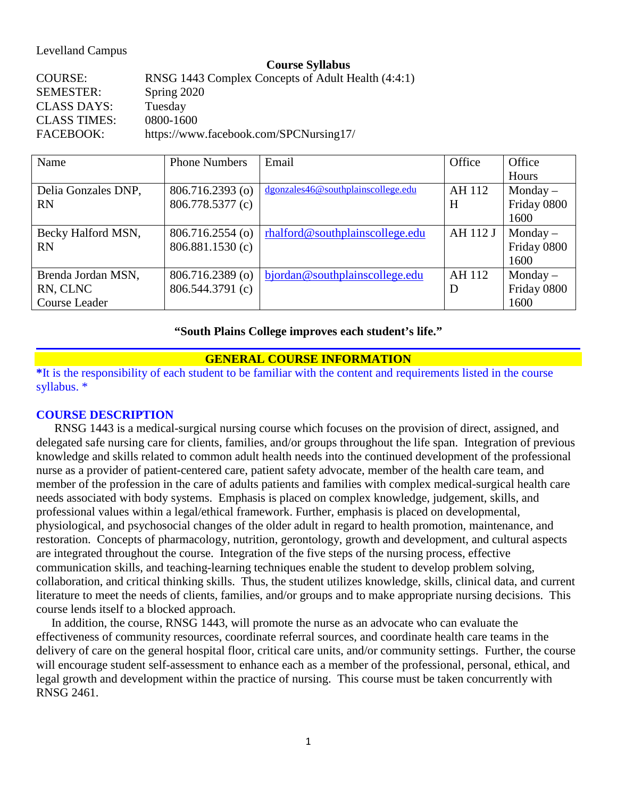### Levelland Campus

#### **Course Syllabus**

COURSE: RNSG 1443 Complex Concepts of Adult Health (4:4:1) SEMESTER: Spring 2020 CLASS DAYS: Tuesday CLASS TIMES: 0800-1600 FACEBOOK: [https://www.facebook.com/SPCNursing17/](about:blank)

| Name                 | <b>Phone Numbers</b> | Email                              | Office   | Office      |
|----------------------|----------------------|------------------------------------|----------|-------------|
|                      |                      |                                    |          | Hours       |
| Delia Gonzales DNP,  | 806.716.2393 (o)     | dgonzales46@southplainscollege.edu | AH 112   | $Monday -$  |
| <b>RN</b>            | 806.778.5377 (c)     |                                    | H        | Friday 0800 |
|                      |                      |                                    |          | 1600        |
| Becky Halford MSN,   | $806.716.2554$ (o)   | rhalford@southplain scollege.edu   | AH 112 J | $Monday -$  |
| <b>RN</b>            | 806.881.1530(c)      |                                    |          | Friday 0800 |
|                      |                      |                                    |          | 1600        |
| Brenda Jordan MSN,   | 806.716.2389 (o)     | bjordan@southplainscollege.edu     | AH 112   | $Monday -$  |
| RN, CLNC             | 806.544.3791 (c)     |                                    | D        | Friday 0800 |
| <b>Course Leader</b> |                      |                                    |          | 1600        |

#### **"South Plains College improves each student's life."**

### **GENERAL COURSE INFORMATION**

**\***It is the responsibility of each student to be familiar with the content and requirements listed in the course syllabus. \*

#### **COURSE DESCRIPTION**

 RNSG 1443 is a medical-surgical nursing course which focuses on the provision of direct, assigned, and delegated safe nursing care for clients, families, and/or groups throughout the life span. Integration of previous knowledge and skills related to common adult health needs into the continued development of the professional nurse as a provider of patient-centered care, patient safety advocate, member of the health care team, and member of the profession in the care of adults patients and families with complex medical-surgical health care needs associated with body systems. Emphasis is placed on complex knowledge, judgement, skills, and professional values within a legal/ethical framework. Further, emphasis is placed on developmental, physiological, and psychosocial changes of the older adult in regard to health promotion, maintenance, and restoration. Concepts of pharmacology, nutrition, gerontology, growth and development, and cultural aspects are integrated throughout the course. Integration of the five steps of the nursing process, effective communication skills, and teaching-learning techniques enable the student to develop problem solving, collaboration, and critical thinking skills. Thus, the student utilizes knowledge, skills, clinical data, and current literature to meet the needs of clients, families, and/or groups and to make appropriate nursing decisions. This course lends itself to a blocked approach.

 In addition, the course, RNSG 1443, will promote the nurse as an advocate who can evaluate the effectiveness of community resources, coordinate referral sources, and coordinate health care teams in the delivery of care on the general hospital floor, critical care units, and/or community settings. Further, the course will encourage student self-assessment to enhance each as a member of the professional, personal, ethical, and legal growth and development within the practice of nursing. This course must be taken concurrently with RNSG 2461.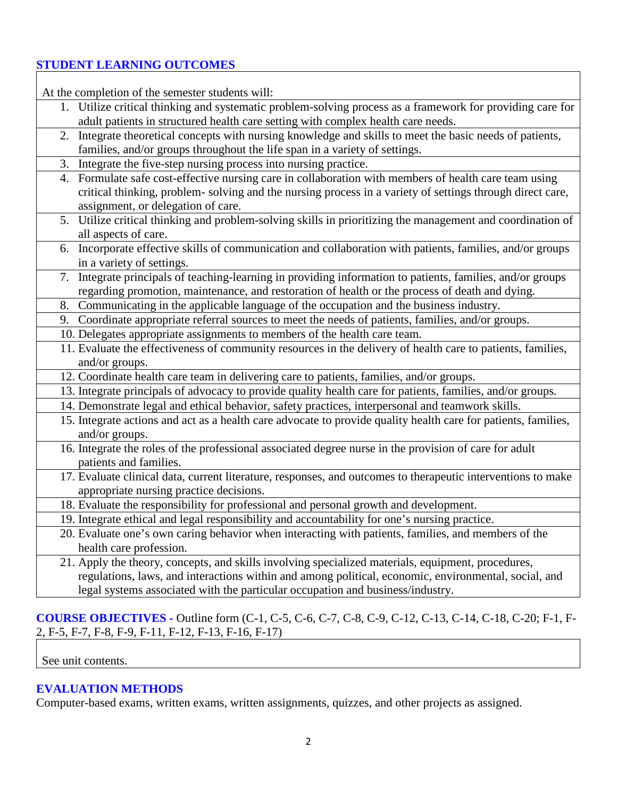# **STUDENT LEARNING OUTCOMES**

At the completion of the semester students will:

- 1. Utilize critical thinking and systematic problem-solving process as a framework for providing care for adult patients in structured health care setting with complex health care needs.
- 2. Integrate theoretical concepts with nursing knowledge and skills to meet the basic needs of patients, families, and/or groups throughout the life span in a variety of settings.
- 3. Integrate the five-step nursing process into nursing practice.

| 5. Integrate the live-step nursing process into nursing practice.                                              |
|----------------------------------------------------------------------------------------------------------------|
| 4. Formulate safe cost-effective nursing care in collaboration with members of health care team using          |
| critical thinking, problem-solving and the nursing process in a variety of settings through direct care,       |
| assignment, or delegation of care.                                                                             |
| 5. Utilize critical thinking and problem-solving skills in prioritizing the management and coordination of     |
| all aspects of care.                                                                                           |
| 6. Incorporate effective skills of communication and collaboration with patients, families, and/or groups      |
| in a variety of settings.                                                                                      |
| 7. Integrate principals of teaching-learning in providing information to patients, families, and/or groups     |
| regarding promotion, maintenance, and restoration of health or the process of death and dying.                 |
| 8. Communicating in the applicable language of the occupation and the business industry.                       |
| 9. Coordinate appropriate referral sources to meet the needs of patients, families, and/or groups.             |
| 10. Delegates appropriate assignments to members of the health care team.                                      |
| 11. Evaluate the effectiveness of community resources in the delivery of health care to patients, families,    |
| and/or groups.                                                                                                 |
| 12. Coordinate health care team in delivering care to patients, families, and/or groups.                       |
| 13. Integrate principals of advocacy to provide quality health care for patients, families, and/or groups.     |
| 14. Demonstrate legal and ethical behavior, safety practices, interpersonal and teamwork skills.               |
| 15. Integrate actions and act as a health care advocate to provide quality health care for patients, families, |
| and/or groups.                                                                                                 |
| 16. Integrate the roles of the professional associated degree nurse in the provision of care for adult         |
| patients and families.                                                                                         |
| 17. Evaluate clinical data, current literature, responses, and outcomes to therapeutic interventions to make   |
| appropriate nursing practice decisions.                                                                        |
| 18. Evaluate the responsibility for professional and personal growth and development.                          |
| 19. Integrate ethical and legal responsibility and accountability for one's nursing practice.                  |
| 20. Evaluate one's own caring behavior when interacting with patients, families, and members of the            |
| health care profession.                                                                                        |
| 21. Apply the theory, concepts, and skills involving specialized materials, equipment, procedures,             |
| regulations, laws, and interactions within and among political, economic, environmental, social, and           |
| legal systems associated with the particular occupation and business/industry.                                 |

# **COURSE OBJECTIVES -** Outline form (C-1, C-5, C-6, C-7, C-8, C-9, C-12, C-13, C-14, C-18, C-20; F-1, F-2, F-5, F-7, F-8, F-9, F-11, F-12, F-13, F-16, F-17)

See unit contents.

## **EVALUATION METHODS**

Computer-based exams, written exams, written assignments, quizzes, and other projects as assigned.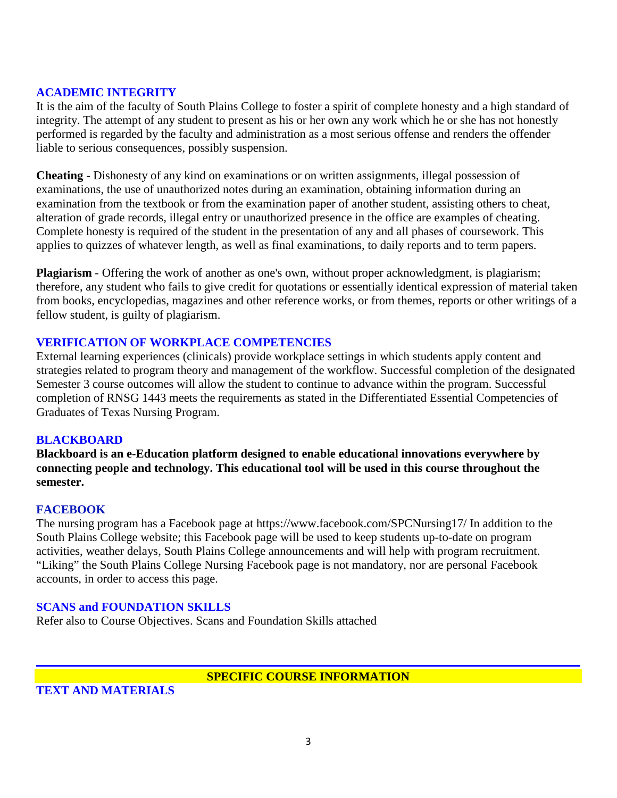## **ACADEMIC INTEGRITY**

It is the aim of the faculty of South Plains College to foster a spirit of complete honesty and a high standard of integrity. The attempt of any student to present as his or her own any work which he or she has not honestly performed is regarded by the faculty and administration as a most serious offense and renders the offender liable to serious consequences, possibly suspension.

**Cheating** - Dishonesty of any kind on examinations or on written assignments, illegal possession of examinations, the use of unauthorized notes during an examination, obtaining information during an examination from the textbook or from the examination paper of another student, assisting others to cheat, alteration of grade records, illegal entry or unauthorized presence in the office are examples of cheating. Complete honesty is required of the student in the presentation of any and all phases of coursework. This applies to quizzes of whatever length, as well as final examinations, to daily reports and to term papers.

**Plagiarism** - Offering the work of another as one's own, without proper acknowledgment, is plagiarism; therefore, any student who fails to give credit for quotations or essentially identical expression of material taken from books, encyclopedias, magazines and other reference works, or from themes, reports or other writings of a fellow student, is guilty of plagiarism.

## **VERIFICATION OF WORKPLACE COMPETENCIES**

External learning experiences (clinicals) provide workplace settings in which students apply content and strategies related to program theory and management of the workflow. Successful completion of the designated Semester 3 course outcomes will allow the student to continue to advance within the program. Successful completion of RNSG 1443 meets the requirements as stated in the Differentiated Essential Competencies of Graduates of Texas Nursing Program.

### **BLACKBOARD**

**Blackboard is an e-Education platform designed to enable educational innovations everywhere by connecting people and technology. This educational tool will be used in this course throughout the semester.** 

### **FACEBOOK**

The nursing program has a Facebook page at https://www.facebook.com/SPCNursing17/ In addition to the South Plains College website; this Facebook page will be used to keep students up-to-date on program activities, weather delays, South Plains College announcements and will help with program recruitment. "Liking" the South Plains College Nursing Facebook page is not mandatory, nor are personal Facebook accounts, in order to access this page.

### **SCANS and FOUNDATION SKILLS**

Refer also to Course Objectives. Scans and Foundation Skills attached

### **SPECIFIC COURSE INFORMATION**

**TEXT AND MATERIALS**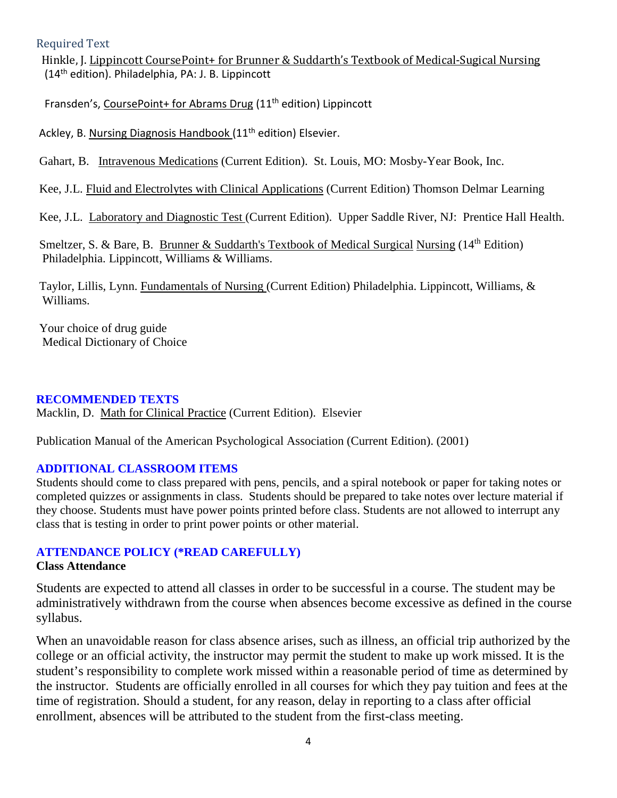## Required Text

 Hinkle, J. Lippincott CoursePoint+ for Brunner & Suddarth's Textbook of Medical-Sugical Nursing (14th edition). Philadelphia, PA: J. B. Lippincott

Fransden's, CoursePoint+ for Abrams Drug (11<sup>th</sup> edition) Lippincott

Ackley, B. Nursing Diagnosis Handbook (11<sup>th</sup> edition) Elsevier.

Gahart, B. Intravenous Medications (Current Edition). St. Louis, MO: Mosby-Year Book, Inc.

Kee, J.L. Fluid and Electrolytes with Clinical Applications (Current Edition) Thomson Delmar Learning

Kee, J.L. Laboratory and Diagnostic Test (Current Edition). Upper Saddle River, NJ: Prentice Hall Health.

Smeltzer, S. & Bare, B. Brunner & Suddarth's Textbook of Medical Surgical Nursing  $(14<sup>th</sup>$  Edition) Philadelphia. Lippincott, Williams & Williams.

Taylor, Lillis, Lynn. Fundamentals of Nursing (Current Edition) Philadelphia. Lippincott, Williams, & Williams.

Your choice of drug guide Medical Dictionary of Choice

### **RECOMMENDED TEXTS**

Macklin, D. Math for Clinical Practice (Current Edition). Elsevier

Publication Manual of the American Psychological Association (Current Edition). (2001)

## **ADDITIONAL CLASSROOM ITEMS**

Students should come to class prepared with pens, pencils, and a spiral notebook or paper for taking notes or completed quizzes or assignments in class. Students should be prepared to take notes over lecture material if they choose. Students must have power points printed before class. Students are not allowed to interrupt any class that is testing in order to print power points or other material.

## **ATTENDANCE POLICY (\*READ CAREFULLY)**

### **Class Attendance**

Students are expected to attend all classes in order to be successful in a course. The student may be administratively withdrawn from the course when absences become excessive as defined in the course syllabus.

When an unavoidable reason for class absence arises, such as illness, an official trip authorized by the college or an official activity, the instructor may permit the student to make up work missed. It is the student's responsibility to complete work missed within a reasonable period of time as determined by the instructor. Students are officially enrolled in all courses for which they pay tuition and fees at the time of registration. Should a student, for any reason, delay in reporting to a class after official enrollment, absences will be attributed to the student from the first-class meeting.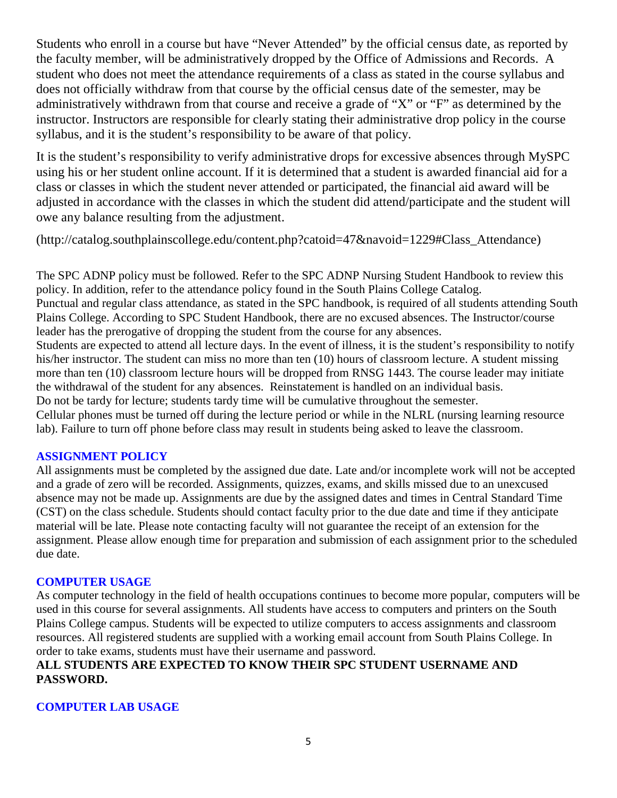Students who enroll in a course but have "Never Attended" by the official census date, as reported by the faculty member, will be administratively dropped by the Office of Admissions and Records. A student who does not meet the attendance requirements of a class as stated in the course syllabus and does not officially withdraw from that course by the official census date of the semester, may be administratively withdrawn from that course and receive a grade of "X" or "F" as determined by the instructor. Instructors are responsible for clearly stating their administrative drop policy in the course syllabus, and it is the student's responsibility to be aware of that policy.

It is the student's responsibility to verify administrative drops for excessive absences through MySPC using his or her student online account. If it is determined that a student is awarded financial aid for a class or classes in which the student never attended or participated, the financial aid award will be adjusted in accordance with the classes in which the student did attend/participate and the student will owe any balance resulting from the adjustment.

(http://catalog.southplainscollege.edu/content.php?catoid=47&navoid=1229#Class\_Attendance)

The SPC ADNP policy must be followed. Refer to the SPC ADNP Nursing Student Handbook to review this policy. In addition, refer to the attendance policy found in the South Plains College Catalog. Punctual and regular class attendance, as stated in the SPC handbook, is required of all students attending South Plains College. According to SPC Student Handbook, there are no excused absences. The Instructor/course leader has the prerogative of dropping the student from the course for any absences. Students are expected to attend all lecture days. In the event of illness, it is the student's responsibility to notify his/her instructor. The student can miss no more than ten (10) hours of classroom lecture. A student missing more than ten (10) classroom lecture hours will be dropped from RNSG 1443. The course leader may initiate the withdrawal of the student for any absences. Reinstatement is handled on an individual basis. Do not be tardy for lecture; students tardy time will be cumulative throughout the semester. Cellular phones must be turned off during the lecture period or while in the NLRL (nursing learning resource lab). Failure to turn off phone before class may result in students being asked to leave the classroom.

## **ASSIGNMENT POLICY**

All assignments must be completed by the assigned due date. Late and/or incomplete work will not be accepted and a grade of zero will be recorded. Assignments, quizzes, exams, and skills missed due to an unexcused absence may not be made up. Assignments are due by the assigned dates and times in Central Standard Time (CST) on the class schedule. Students should contact faculty prior to the due date and time if they anticipate material will be late. Please note contacting faculty will not guarantee the receipt of an extension for the assignment. Please allow enough time for preparation and submission of each assignment prior to the scheduled due date.

## **COMPUTER USAGE**

As computer technology in the field of health occupations continues to become more popular, computers will be used in this course for several assignments. All students have access to computers and printers on the South Plains College campus. Students will be expected to utilize computers to access assignments and classroom resources. All registered students are supplied with a working email account from South Plains College. In order to take exams, students must have their username and password.

# **ALL STUDENTS ARE EXPECTED TO KNOW THEIR SPC STUDENT USERNAME AND PASSWORD.**

# **COMPUTER LAB USAGE**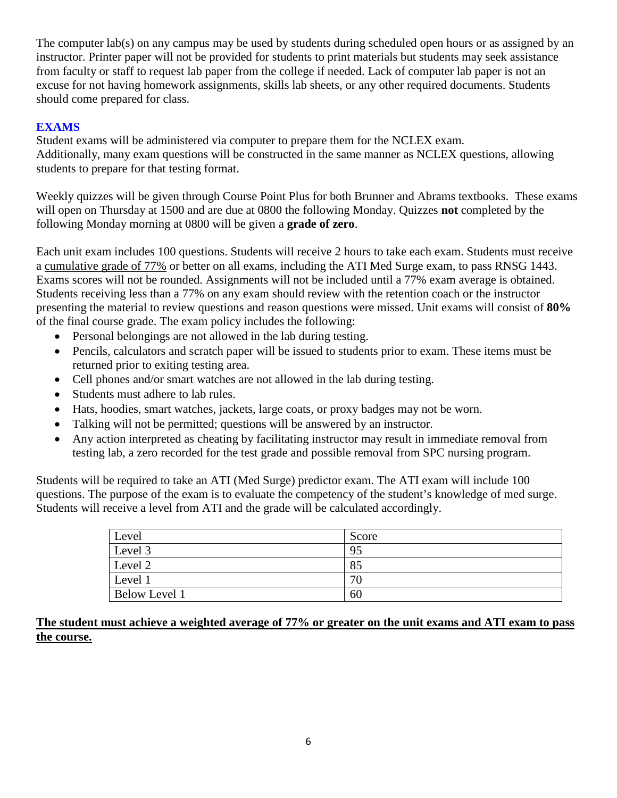The computer lab(s) on any campus may be used by students during scheduled open hours or as assigned by an instructor. Printer paper will not be provided for students to print materials but students may seek assistance from faculty or staff to request lab paper from the college if needed. Lack of computer lab paper is not an excuse for not having homework assignments, skills lab sheets, or any other required documents. Students should come prepared for class.

## **EXAMS**

Student exams will be administered via computer to prepare them for the NCLEX exam. Additionally, many exam questions will be constructed in the same manner as NCLEX questions, allowing students to prepare for that testing format.

Weekly quizzes will be given through Course Point Plus for both Brunner and Abrams textbooks. These exams will open on Thursday at 1500 and are due at 0800 the following Monday. Quizzes **not** completed by the following Monday morning at 0800 will be given a **grade of zero**.

Each unit exam includes 100 questions. Students will receive 2 hours to take each exam. Students must receive a cumulative grade of 77% or better on all exams, including the ATI Med Surge exam, to pass RNSG 1443. Exams scores will not be rounded. Assignments will not be included until a 77% exam average is obtained. Students receiving less than a 77% on any exam should review with the retention coach or the instructor presenting the material to review questions and reason questions were missed. Unit exams will consist of **80%** of the final course grade. The exam policy includes the following:

- Personal belongings are not allowed in the lab during testing.
- Pencils, calculators and scratch paper will be issued to students prior to exam. These items must be returned prior to exiting testing area.
- Cell phones and/or smart watches are not allowed in the lab during testing.
- Students must adhere to lab rules.
- Hats, hoodies, smart watches, jackets, large coats, or proxy badges may not be worn.
- Talking will not be permitted; questions will be answered by an instructor.
- Any action interpreted as cheating by facilitating instructor may result in immediate removal from testing lab, a zero recorded for the test grade and possible removal from SPC nursing program.

Students will be required to take an ATI (Med Surge) predictor exam. The ATI exam will include 100 questions. The purpose of the exam is to evaluate the competency of the student's knowledge of med surge. Students will receive a level from ATI and the grade will be calculated accordingly.

| Level                | Score |
|----------------------|-------|
| Level 3              | 95    |
| Level 2              | 85    |
| Level 1              | 70    |
| <b>Below Level 1</b> | 60    |

**The student must achieve a weighted average of 77% or greater on the unit exams and ATI exam to pass the course.**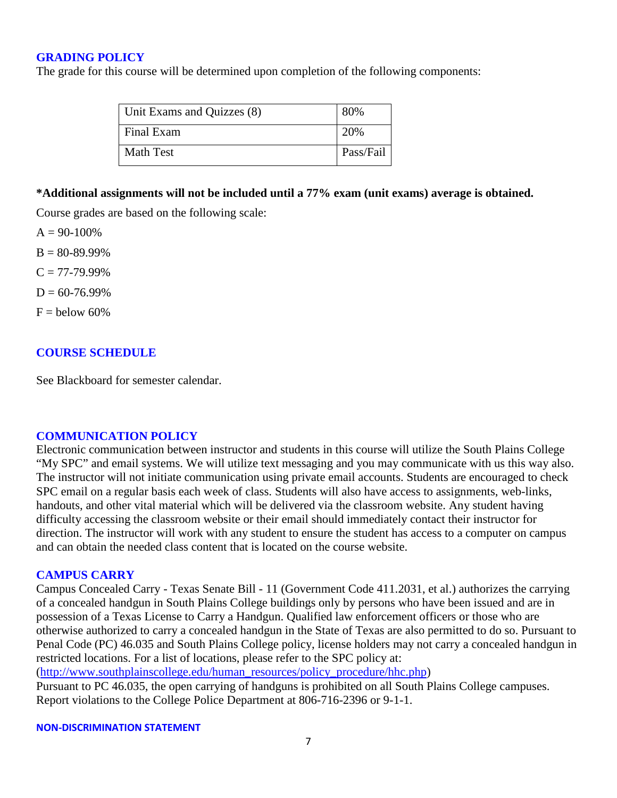#### **GRADING POLICY**

The grade for this course will be determined upon completion of the following components:

| Unit Exams and Quizzes (8) | 80%       |
|----------------------------|-----------|
| Final Exam                 | 20%       |
| Math Test                  | Pass/Fail |

#### **\*Additional assignments will not be included until a 77% exam (unit exams) average is obtained.**

Course grades are based on the following scale:

 $A = 90-100%$ 

 $B = 80 - 89.99\%$ 

 $C = 77 - 79.99\%$ 

 $D = 60 - 76.99\%$ 

 $F =$  below 60%

#### **COURSE SCHEDULE**

See Blackboard for semester calendar.

#### **COMMUNICATION POLICY**

Electronic communication between instructor and students in this course will utilize the South Plains College "My SPC" and email systems. We will utilize text messaging and you may communicate with us this way also. The instructor will not initiate communication using private email accounts. Students are encouraged to check SPC email on a regular basis each week of class. Students will also have access to assignments, web-links, handouts, and other vital material which will be delivered via the classroom website. Any student having difficulty accessing the classroom website or their email should immediately contact their instructor for direction. The instructor will work with any student to ensure the student has access to a computer on campus and can obtain the needed class content that is located on the course website.

#### **CAMPUS CARRY**

Campus Concealed Carry - Texas Senate Bill - 11 (Government Code 411.2031, et al.) authorizes the carrying of a concealed handgun in South Plains College buildings only by persons who have been issued and are in possession of a Texas License to Carry a Handgun. Qualified law enforcement officers or those who are otherwise authorized to carry a concealed handgun in the State of Texas are also permitted to do so. Pursuant to Penal Code (PC) 46.035 and South Plains College policy, license holders may not carry a concealed handgun in restricted locations. For a list of locations, please refer to the SPC policy at:

[\(http://www.southplainscollege.edu/human\\_resources/policy\\_procedure/hhc.php\)](about:blank)

Pursuant to PC 46.035, the open carrying of handguns is prohibited on all South Plains College campuses. Report violations to the College Police Department at 806-716-2396 or 9-1-1.

**NON-DISCRIMINATION STATEMENT**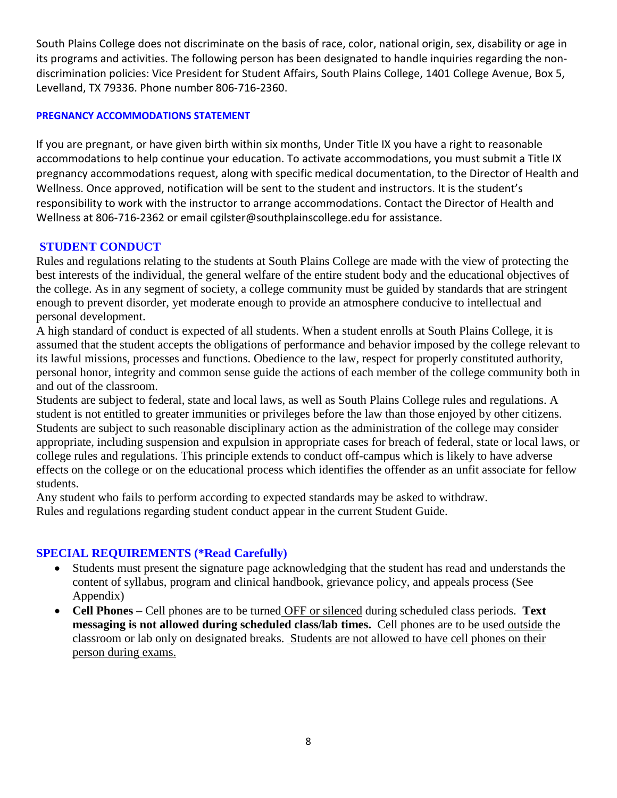South Plains College does not discriminate on the basis of race, color, national origin, sex, disability or age in its programs and activities. The following person has been designated to handle inquiries regarding the nondiscrimination policies: Vice President for Student Affairs, South Plains College, 1401 College Avenue, Box 5, Levelland, TX 79336. Phone number 806-716-2360.

### **PREGNANCY ACCOMMODATIONS STATEMENT**

If you are pregnant, or have given birth within six months, Under Title IX you have a right to reasonable accommodations to help continue your education. To activate accommodations, you must submit a Title IX pregnancy accommodations request, along with specific medical documentation, to the Director of Health and Wellness. Once approved, notification will be sent to the student and instructors. It is the student's responsibility to work with the instructor to arrange accommodations. Contact the Director of Health and Wellness at 806-716-2362 or email cgilster@southplainscollege.edu for assistance.

## **STUDENT CONDUCT**

Rules and regulations relating to the students at South Plains College are made with the view of protecting the best interests of the individual, the general welfare of the entire student body and the educational objectives of the college. As in any segment of society, a college community must be guided by standards that are stringent enough to prevent disorder, yet moderate enough to provide an atmosphere conducive to intellectual and personal development.

A high standard of conduct is expected of all students. When a student enrolls at South Plains College, it is assumed that the student accepts the obligations of performance and behavior imposed by the college relevant to its lawful missions, processes and functions. Obedience to the law, respect for properly constituted authority, personal honor, integrity and common sense guide the actions of each member of the college community both in and out of the classroom.

Students are subject to federal, state and local laws, as well as South Plains College rules and regulations. A student is not entitled to greater immunities or privileges before the law than those enjoyed by other citizens. Students are subject to such reasonable disciplinary action as the administration of the college may consider appropriate, including suspension and expulsion in appropriate cases for breach of federal, state or local laws, or college rules and regulations. This principle extends to conduct off-campus which is likely to have adverse effects on the college or on the educational process which identifies the offender as an unfit associate for fellow students.

Any student who fails to perform according to expected standards may be asked to withdraw. Rules and regulations regarding student conduct appear in the current Student Guide.

### **SPECIAL REQUIREMENTS (\*Read Carefully)**

- Students must present the signature page acknowledging that the student has read and understands the content of syllabus, program and clinical handbook, grievance policy, and appeals process (See Appendix)
- **Cell Phones** Cell phones are to be turned OFF or silenced during scheduled class periods. **Text messaging is not allowed during scheduled class/lab times.** Cell phones are to be used outside the classroom or lab only on designated breaks. Students are not allowed to have cell phones on their person during exams.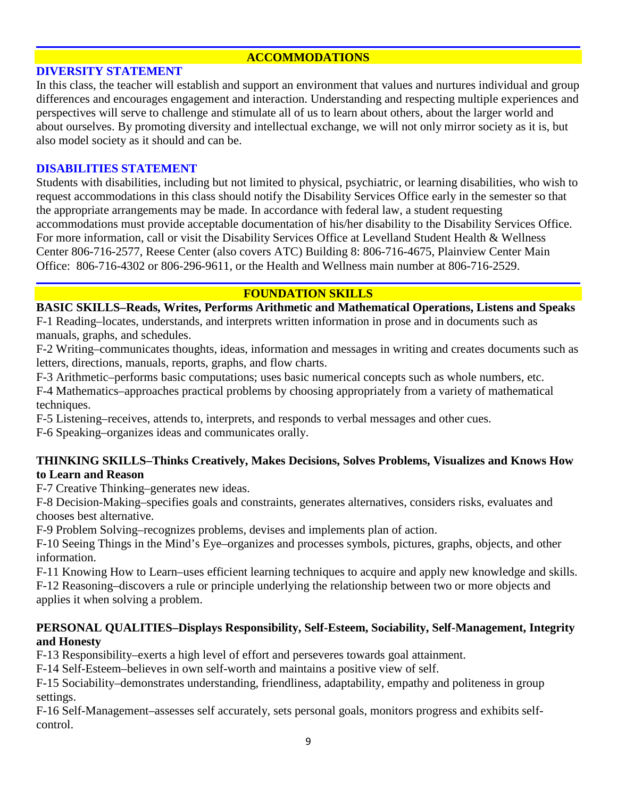## **ACCOMMODATIONS**

#### **DIVERSITY STATEMENT**

In this class, the teacher will establish and support an environment that values and nurtures individual and group differences and encourages engagement and interaction. Understanding and respecting multiple experiences and perspectives will serve to challenge and stimulate all of us to learn about others, about the larger world and about ourselves. By promoting diversity and intellectual exchange, we will not only mirror society as it is, but also model society as it should and can be.

### **DISABILITIES STATEMENT**

Students with disabilities, including but not limited to physical, psychiatric, or learning disabilities, who wish to request accommodations in this class should notify the Disability Services Office early in the semester so that the appropriate arrangements may be made. In accordance with federal law, a student requesting accommodations must provide acceptable documentation of his/her disability to the Disability Services Office. For more information, call or visit the Disability Services Office at Levelland Student Health & Wellness Center 806-716-2577, Reese Center (also covers ATC) Building 8: 806-716-4675, Plainview Center Main Office: 806-716-4302 or 806-296-9611, or the Health and Wellness main number at 806-716-2529.

## **FOUNDATION SKILLS**

**BASIC SKILLS–Reads, Writes, Performs Arithmetic and Mathematical Operations, Listens and Speaks** F-1 Reading–locates, understands, and interprets written information in prose and in documents such as manuals, graphs, and schedules.

F-2 Writing–communicates thoughts, ideas, information and messages in writing and creates documents such as letters, directions, manuals, reports, graphs, and flow charts.

F-3 Arithmetic–performs basic computations; uses basic numerical concepts such as whole numbers, etc.

F-4 Mathematics–approaches practical problems by choosing appropriately from a variety of mathematical techniques.

F-5 Listening–receives, attends to, interprets, and responds to verbal messages and other cues.

F-6 Speaking–organizes ideas and communicates orally.

## **THINKING SKILLS–Thinks Creatively, Makes Decisions, Solves Problems, Visualizes and Knows How to Learn and Reason**

F-7 Creative Thinking–generates new ideas.

F-8 Decision-Making–specifies goals and constraints, generates alternatives, considers risks, evaluates and chooses best alternative.

F-9 Problem Solving–recognizes problems, devises and implements plan of action.

F-10 Seeing Things in the Mind's Eye–organizes and processes symbols, pictures, graphs, objects, and other information.

F-11 Knowing How to Learn–uses efficient learning techniques to acquire and apply new knowledge and skills. F-12 Reasoning–discovers a rule or principle underlying the relationship between two or more objects and applies it when solving a problem.

## **PERSONAL QUALITIES–Displays Responsibility, Self-Esteem, Sociability, Self-Management, Integrity and Honesty**

F-13 Responsibility–exerts a high level of effort and perseveres towards goal attainment.

F-14 Self-Esteem–believes in own self-worth and maintains a positive view of self.

F-15 Sociability–demonstrates understanding, friendliness, adaptability, empathy and politeness in group settings.

F-16 Self-Management–assesses self accurately, sets personal goals, monitors progress and exhibits selfcontrol.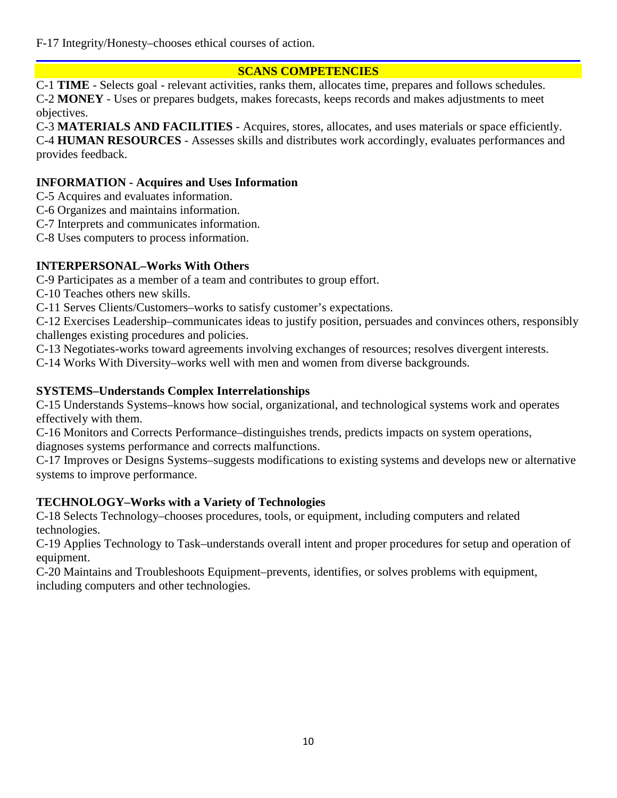F-17 Integrity/Honesty–chooses ethical courses of action.

## **SCANS COMPETENCIES**

C-1 **TIME** - Selects goal - relevant activities, ranks them, allocates time, prepares and follows schedules. C-2 **MONEY** - Uses or prepares budgets, makes forecasts, keeps records and makes adjustments to meet objectives.

C-3 **MATERIALS AND FACILITIES** - Acquires, stores, allocates, and uses materials or space efficiently. C-4 **HUMAN RESOURCES** - Assesses skills and distributes work accordingly, evaluates performances and provides feedback.

## **INFORMATION - Acquires and Uses Information**

- C-5 Acquires and evaluates information.
- C-6 Organizes and maintains information.
- C-7 Interprets and communicates information.

C-8 Uses computers to process information.

# **INTERPERSONAL–Works With Others**

C-9 Participates as a member of a team and contributes to group effort.

C-10 Teaches others new skills.

C-11 Serves Clients/Customers–works to satisfy customer's expectations.

C-12 Exercises Leadership–communicates ideas to justify position, persuades and convinces others, responsibly challenges existing procedures and policies.

C-13 Negotiates-works toward agreements involving exchanges of resources; resolves divergent interests.

C-14 Works With Diversity–works well with men and women from diverse backgrounds.

# **SYSTEMS–Understands Complex Interrelationships**

C-15 Understands Systems–knows how social, organizational, and technological systems work and operates effectively with them.

C-16 Monitors and Corrects Performance–distinguishes trends, predicts impacts on system operations, diagnoses systems performance and corrects malfunctions.

C-17 Improves or Designs Systems–suggests modifications to existing systems and develops new or alternative systems to improve performance.

# **TECHNOLOGY–Works with a Variety of Technologies**

C-18 Selects Technology–chooses procedures, tools, or equipment, including computers and related technologies.

C-19 Applies Technology to Task–understands overall intent and proper procedures for setup and operation of equipment.

C-20 Maintains and Troubleshoots Equipment–prevents, identifies, or solves problems with equipment, including computers and other technologies.